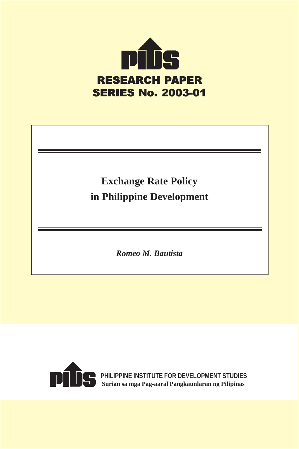

# **Exchange Rate Policy in Philippine Development**

*Romeo M. Bautista*



**PHILIPPINE INSTITUTE FOR DEVELOPMENT STUDIES Surian sa mga Pag-aaral Pangkaunlaran ng Pilipinas**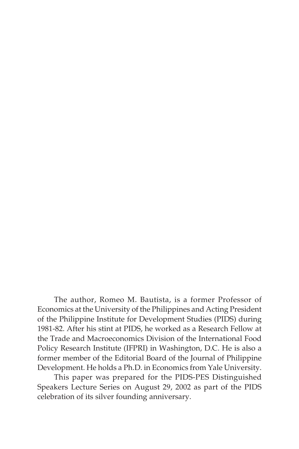The author, Romeo M. Bautista, is a former Professor of Economics at the University of the Philippines and Acting President of the Philippine Institute for Development Studies (PIDS) during 1981-82. After his stint at PIDS, he worked as a Research Fellow at the Trade and Macroeconomics Division of the International Food Policy Research Institute (IFPRI) in Washington, D.C. He is also a former member of the Editorial Board of the Journal of Philippine Development. He holds a Ph.D. in Economics from Yale University.

This paper was prepared for the PIDS-PES Distinguished Speakers Lecture Series on August 29, 2002 as part of the PIDS celebration of its silver founding anniversary.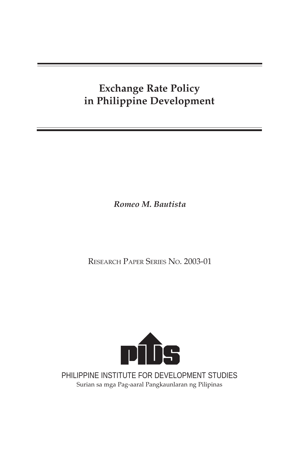# **Exchange Rate Policy in Philippine Development**

*Romeo M. Bautista*

RESEARCH PAPER SERIES NO. 2003-01



PHILIPPINE INSTITUTE FOR DEVELOPMENT STUDIES Surian sa mga Pag-aaral Pangkaunlaran ng Pilipinas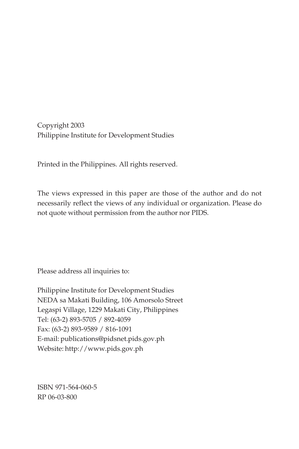Copyright 2003 Philippine Institute for Development Studies

Printed in the Philippines. All rights reserved.

The views expressed in this paper are those of the author and do not necessarily reflect the views of any individual or organization. Please do not quote without permission from the author nor PIDS.

Please address all inquiries to:

Philippine Institute for Development Studies NEDA sa Makati Building, 106 Amorsolo Street Legaspi Village, 1229 Makati City, Philippines Tel: (63-2) 893-5705 / 892-4059 Fax: (63-2) 893-9589 / 816-1091 E-mail: publications@pidsnet.pids.gov.ph Website: http://www.pids.gov.ph

ISBN 971-564-060-5 RP 06-03-800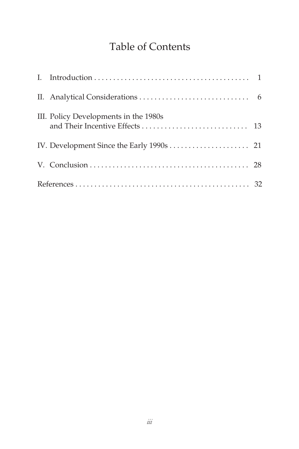# Table of Contents

| III. Policy Developments in the 1980s |  |
|---------------------------------------|--|
|                                       |  |
|                                       |  |
|                                       |  |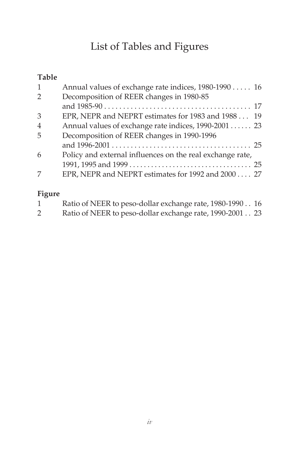# List of Tables and Figures

## **Table**

| 1              | Annual values of exchange rate indices, 1980-1990 16      |  |
|----------------|-----------------------------------------------------------|--|
| 2              | Decomposition of REER changes in 1980-85                  |  |
|                |                                                           |  |
| 3              | EPR, NEPR and NEPRT estimates for 1983 and 1988 19        |  |
| $\overline{4}$ | Annual values of exchange rate indices, 1990-2001  23     |  |
| 5              | Decomposition of REER changes in 1990-1996                |  |
|                |                                                           |  |
| 6              | Policy and external influences on the real exchange rate, |  |
|                |                                                           |  |
| 7              | EPR, NEPR and NEPRT estimates for 1992 and 2000 27        |  |

## **Figure**

|                       | Ratio of NEER to peso-dollar exchange rate, 1980-1990 16 |  |
|-----------------------|----------------------------------------------------------|--|
| $\mathbf{2}^{\prime}$ | Ratio of NEER to peso-dollar exchange rate, 1990-2001 23 |  |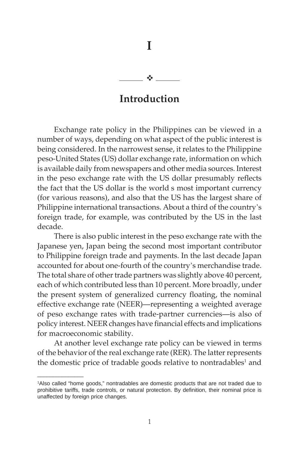**I**  $-1$ 

## **Introduction**

Exchange rate policy in the Philippines can be viewed in a number of ways, depending on what aspect of the public interest is being considered. In the narrowest sense, it relates to the Philippine peso-United States (US) dollar exchange rate, information on which is available daily from newspapers and other media sources. Interest in the peso exchange rate with the US dollar presumably reflects the fact that the US dollar is the world's most important currency (for various reasons), and also that the US has the largest share of Philippine international transactions. About a third of the country's foreign trade, for example, was contributed by the US in the last decade.

There is also public interest in the peso exchange rate with the Japanese yen, Japan being the second most important contributor to Philippine foreign trade and payments. In the last decade Japan accounted for about one-fourth of the country's merchandise trade. The total share of other trade partners was slightly above 40 percent, each of which contributed less than 10 percent. More broadly, under the present system of generalized currency floating, the nominal effective exchange rate (NEER)—representing a weighted average of peso exchange rates with trade-partner currencies—is also of policy interest. NEER changes have financial effects and implications for macroeconomic stability.

At another level exchange rate policy can be viewed in terms of the behavior of the real exchange rate (RER). The latter represents the domestic price of tradable goods relative to nontradables<sup>1</sup> and

\_\_\_\_\_\_\_\_\_\_\_\_\_\_\_

<sup>1</sup> Also called "home goods," nontradables are domestic products that are not traded due to prohibitive tariffs, trade controls, or natural protection. By definition, their nominal price is unaffected by foreign price changes.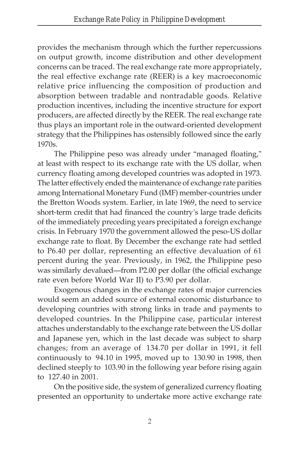provides the mechanism through which the further repercussions on output growth, income distribution and other development concerns can be traced. The real exchange rate—more appropriately, the real effective exchange rate (REER) is a key macroeconomic relative price influencing the composition of production and absorption between tradable and nontradable goods. Relative production incentives, including the incentive structure for export producers, are affected directly by the REER. The real exchange rate thus plays an important role in the outward-oriented development strategy that the Philippines has ostensibly followed since the early 1970s.

The Philippine peso was already under "managed floating," at least with respect to its exchange rate with the US dollar, when currency floating among developed countries was adopted in 1973. The latter effectively ended the maintenance of exchange rate parities among International Monetary Fund (IMF) member-countries under the Bretton Woods system. Earlier, in late 1969, the need to service short-term credit that had financed the country's large trade deficits of the immediately preceding years precipitated a foreign exchange crisis. In February 1970 the government allowed the peso-US dollar exchange rate to float. By December the exchange rate had settled to P6.40 per dollar, representing an effective devaluation of 61 percent during the year. Previously, in 1962, the Philippine peso was similarly devalued—from P2.00 per dollar (the official exchange rate even before World War II) to P3.90 per dollar.

Exogenous changes in the exchange rates of major currencies would seem an added source of external economic disturbance to developing countries with strong links in trade and payments to developed countries. In the Philippine case, particular interest attaches understandably to the exchange rate between the US dollar and Japanese yen, which in the last decade was subject to sharp changes; from an average of 134.70 per dollar in 1991, it fell continuously to  $94.10$  in 1995, moved up to  $130.90$  in 1998, then declined steeply to 103.90 in the following year before rising again to 127.40 in 2001.

On the positive side, the system of generalized currency floating presented an opportunity to undertake more active exchange rate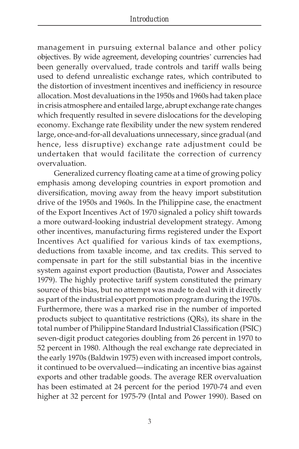management in pursuing external balance and other policy objectives. By wide agreement, developing countries' currencies had been generally overvalued, trade controls and tariff walls being used to defend unrealistic exchange rates, which contributed to the distortion of investment incentives and inefficiency in resource allocation. Most devaluations in the 1950s and 1960s had taken place in crisis atmosphere and entailed large, abrupt exchange rate changes which frequently resulted in severe dislocations for the developing economy. Exchange rate flexibility under the new system rendered large, once-and-for-all devaluations unnecessary, since gradual (and hence, less disruptive) exchange rate adjustment could be undertaken that would facilitate the correction of currency overvaluation.

Generalized currency floating came at a time of growing policy emphasis among developing countries in export promotion and diversification, moving away from the heavy import substitution drive of the 1950s and 1960s. In the Philippine case, the enactment of the Export Incentives Act of 1970 signaled a policy shift towards a more outward-looking industrial development strategy. Among other incentives, manufacturing firms registered under the Export Incentives Act qualified for various kinds of tax exemptions, deductions from taxable income, and tax credits. This served to compensate in part for the still substantial bias in the incentive system against export production (Bautista, Power and Associates 1979). The highly protective tariff system constituted the primary source of this bias, but no attempt was made to deal with it directly as part of the industrial export promotion program during the 1970s. Furthermore, there was a marked rise in the number of imported products subject to quantitative restrictions (QRs), its share in the total number of Philippine Standard Industrial Classification (PSIC) seven-digit product categories doubling from 26 percent in 1970 to 52 percent in 1980. Although the real exchange rate depreciated in the early 1970s (Baldwin 1975) even with increased import controls, it continued to be overvalued—indicating an incentive bias against exports and other tradable goods. The average RER overvaluation has been estimated at 24 percent for the period 1970-74 and even higher at 32 percent for 1975-79 (Intal and Power 1990). Based on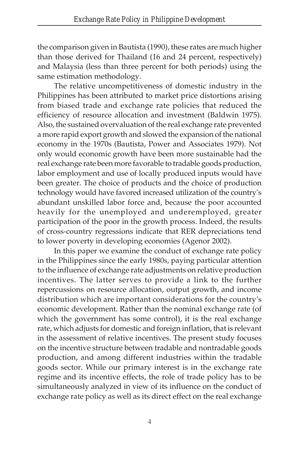the comparison given in Bautista (1990), these rates are much higher than those derived for Thailand (16 and 24 percent, respectively) and Malaysia (less than three percent for both periods) using the same estimation methodology.

The relative uncompetitiveness of domestic industry in the Philippines has been attributed to market price distortions arising from biased trade and exchange rate policies that reduced the efficiency of resource allocation and investment (Baldwin 1975). Also, the sustained overvaluation of the real exchange rate prevented a more rapid export growth and slowed the expansion of the national economy in the 1970s (Bautista, Power and Associates 1979). Not only would economic growth have been more sustainable had the real exchange rate been more favorable to tradable goods production, labor employment and use of locally produced inputs would have been greater. The choice of products and the choice of production technology would have favored increased utilization of the country's abundant unskilled labor force and, because the poor accounted heavily for the unemployed and underemployed, greater participation of the poor in the growth process. Indeed, the results of cross-country regressions indicate that RER depreciations tend to lower poverty in developing economies (Agenor 2002).

In this paper we examine the conduct of exchange rate policy in the Philippines since the early 1980s, paying particular attention to the influence of exchange rate adjustments on relative production incentives. The latter serves to provide a link to the further repercussions on resource allocation, output growth, and income distribution—which are important considerations for the country's economic development. Rather than the nominal exchange rate (of which the government has some control), it is the real exchange rate, which adjusts for domestic and foreign inflation, that is relevant in the assessment of relative incentives. The present study focuses on the incentive structure between tradable and nontradable goods production, and among different industries within the tradable goods sector. While our primary interest is in the exchange rate regime and its incentive effects, the role of trade policy has to be simultaneously analyzed in view of its influence on the conduct of exchange rate policy as well as its direct effect on the real exchange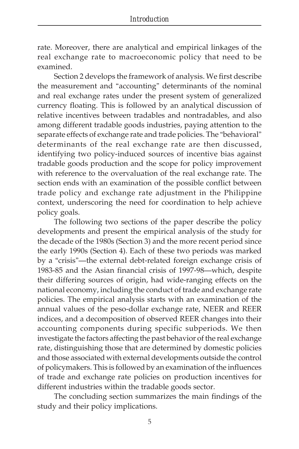rate. Moreover, there are analytical and empirical linkages of the real exchange rate to macroeconomic policy that need to be examined.

Section 2 develops the framework of analysis. We first describe the measurement and "accounting" determinants of the nominal and real exchange rates under the present system of generalized currency floating. This is followed by an analytical discussion of relative incentives between tradables and nontradables, and also among different tradable goods industries, paying attention to the separate effects of exchange rate and trade policies. The "behavioral" determinants of the real exchange rate are then discussed, identifying two policy-induced sources of incentive bias against tradable goods production and the scope for policy improvement with reference to the overvaluation of the real exchange rate. The section ends with an examination of the possible conflict between trade policy and exchange rate adjustment in the Philippine context, underscoring the need for coordination to help achieve policy goals.

The following two sections of the paper describe the policy developments and present the empirical analysis of the study for the decade of the 1980s (Section 3) and the more recent period since the early 1990s (Section 4). Each of these two periods was marked by a "crisis"—the external debt-related foreign exchange crisis of 1983-85 and the Asian financial crisis of 1997-98—which, despite their differing sources of origin, had wide-ranging effects on the national economy, including the conduct of trade and exchange rate policies. The empirical analysis starts with an examination of the annual values of the peso-dollar exchange rate, NEER and REER indices, and a decomposition of observed REER changes into their accounting components during specific subperiods. We then investigate the factors affecting the past behavior of the real exchange rate, distinguishing those that are determined by domestic policies and those associated with external developments outside the control of policymakers. This is followed by an examination of the influences of trade and exchange rate policies on production incentives for different industries within the tradable goods sector.

The concluding section summarizes the main findings of the study and their policy implications.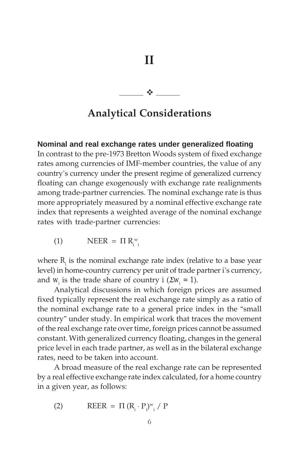**- Alexander State** 

# **Analytical Considerations**

#### **Nominal and real exchange rates under generalized floating**

In contrast to the pre-1973 Bretton Woods system of fixed exchange rates among currencies of IMF-member countries, the value of any country's currency under the present regime of generalized currency floating can change exogenously with exchange rate realignments among trade-partner currencies. The nominal exchange rate is thus more appropriately measured by a nominal effective exchange rate index that represents a weighted average of the nominal exchange rates with trade-partner currencies:

$$
(1) \qquad \text{NEER} = \Pi \, \text{R}_{i}^{\text{w}}
$$

where  $R_{i}$  is the nominal exchange rate index (relative to a base year level) in home-country currency per unit of trade partner i's currency, and *w<sub>i</sub>* is the trade share of country  $i$  ( $\sum w_i = 1$ ).

Analytical discussions in which foreign prices are assumed fixed typically represent the real exchange rate simply as a ratio of the nominal exchange rate to a general price index in the "small country" under study. In empirical work that traces the movement of the real exchange rate over time, foreign prices cannot be assumed constant. With generalized currency floating, changes in the general price level in each trade partner, as well as in the bilateral exchange rates, need to be taken into account.

A broad measure of the real exchange rate can be represented by a real effective exchange rate index calculated, for a home country in a given year, as follows:

(2) REER =  $\Pi (R_i \cdot P_i)^{w_i} / P$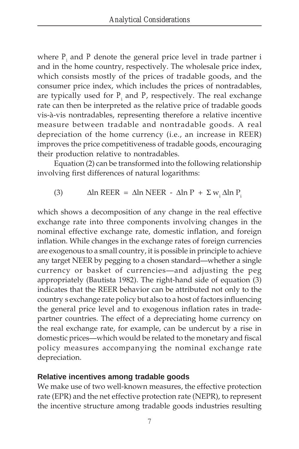where  $P_{_i}$  and  $P$  denote the general price level in trade partner i and in the home country, respectively. The wholesale price index, which consists mostly of the prices of tradable goods, and the consumer price index, which includes the prices of nontradables, are typically used for  $P_{_i}$  and  $P_{\cdot}$  respectively. The real exchange rate can then be interpreted as the relative price of tradable goods vis-à-vis nontradables, representing therefore a relative incentive measure between tradable and nontradable goods. A real depreciation of the home currency (i.e., an increase in REER) improves the price competitiveness of tradable goods, encouraging their production relative to nontradables.

Equation (2) can be transformed into the following relationship involving first differences of natural logarithms:

(3)  $\triangle$   $\triangle$  Aln REER =  $\triangle$  In NEER -  $\triangle$  In P +  $\Sigma$  w<sub>i</sub>  $\triangle$  In P<sub>i</sub>

which shows a decomposition of any change in the real effective exchange rate into three components involving changes in the nominal effective exchange rate, domestic inflation, and foreign inflation. While changes in the exchange rates of foreign currencies are exogenous to a small country, it is possible in principle to achieve any target NEER by pegging to a chosen standard—whether a single currency or basket of currencies—and adjusting the peg appropriately (Bautista 1982). The right-hand side of equation (3) indicates that the REER behavior can be attributed not only to the country's exchange rate policy but also to a host of factors influencing the general price level and to exogenous inflation rates in tradepartner countries. The effect of a depreciating home currency on the real exchange rate, for example, can be undercut by a rise in domestic prices—which would be related to the monetary and fiscal policy measures accompanying the nominal exchange rate depreciation.

#### **Relative incentives among tradable goods**

We make use of two well-known measures, the effective protection rate (EPR) and the net effective protection rate (NEPR), to represent the incentive structure among tradable goods industries resulting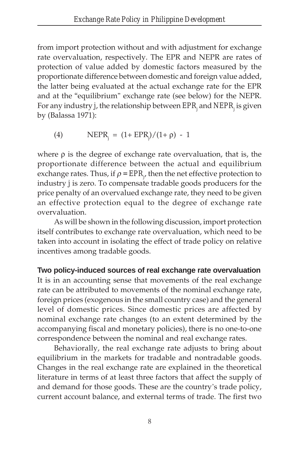from import protection without and with adjustment for exchange rate overvaluation, respectively. The EPR and NEPR are rates of protection of value added by domestic factors measured by the proportionate difference between domestic and foreign value added, the latter being evaluated at the actual exchange rate for the EPR and at the "equilibrium" exchange rate (see below) for the NEPR. For any industry *j*, the relationship between *EPRj* and *NEPRj* is given by (Balassa 1971):

(4) 
$$
NEPR_i = (1 + EPR_i)/(1 + \rho) - 1
$$

where  $\rho$  is the degree of exchange rate overvaluation, that is, the proportionate difference between the actual and equilibrium exchange rates. Thus*,* if  $\rho$  =  $EPR_{_{f'}}$  then the net effective protection to industry *j* is zero. To compensate tradable goods producers for the price penalty of an overvalued exchange rate, they need to be given an effective protection equal to the degree of exchange rate overvaluation.

As will be shown in the following discussion, import protection itself contributes to exchange rate overvaluation, which need to be taken into account in isolating the effect of trade policy on relative incentives among tradable goods.

#### **Two policy-induced sources of real exchange rate overvaluation**

It is in an accounting sense that movements of the real exchange rate can be attributed to movements of the nominal exchange rate, foreign prices (exogenous in the small country case) and the general level of domestic prices. Since domestic prices are affected by nominal exchange rate changes (to an extent determined by the accompanying fiscal and monetary policies), there is no one-to-one correspondence between the nominal and real exchange rates.

Behaviorally, the real exchange rate adjusts to bring about equilibrium in the markets for tradable and nontradable goods. Changes in the real exchange rate are explained in the theoretical literature in terms of at least three factors that affect the supply of and demand for those goods. These are the country's trade policy, current account balance, and external terms of trade. The first two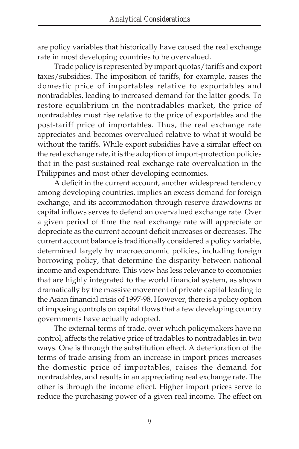are policy variables that historically have caused the real exchange rate in most developing countries to be overvalued.

Trade policy is represented by import quotas/tariffs and export taxes/subsidies. The imposition of tariffs, for example, raises the domestic price of importables relative to exportables and nontradables, leading to increased demand for the latter goods. To restore equilibrium in the nontradables market, the price of nontradables must rise relative to the price of exportables and the post-tariff price of importables. Thus, the real exchange rate appreciates and becomes overvalued relative to what it would be without the tariffs. While export subsidies have a similar effect on the real exchange rate, it is the adoption of import-protection policies that in the past sustained real exchange rate overvaluation in the Philippines and most other developing economies.

A deficit in the current account, another widespread tendency among developing countries, implies an excess demand for foreign exchange, and its accommodation through reserve drawdowns or capital inflows serves to defend an overvalued exchange rate. Over a given period of time the real exchange rate will appreciate or depreciate as the current account deficit increases or decreases. The current account balance is traditionally considered a policy variable, determined largely by macroeconomic policies, including foreign borrowing policy, that determine the disparity between national income and expenditure. This view has less relevance to economies that are highly integrated to the world financial system, as shown dramatically by the massive movement of private capital leading to the Asian financial crisis of 1997-98. However, there is a policy option of imposing controls on capital flows that a few developing country governments have actually adopted.

The external terms of trade, over which policymakers have no control, affects the relative price of tradables to nontradables in two ways. One is through the substitution effect. A deterioration of the terms of trade arising from an increase in import prices increases the domestic price of importables, raises the demand for nontradables, and results in an appreciating real exchange rate. The other is through the income effect. Higher import prices serve to reduce the purchasing power of a given real income. The effect on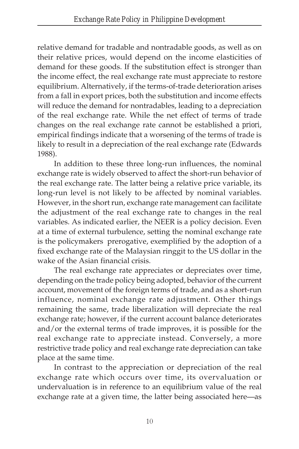relative demand for tradable and nontradable goods, as well as on their relative prices, would depend on the income elasticities of demand for these goods. If the substitution effect is stronger than the income effect, the real exchange rate must appreciate to restore equilibrium. Alternatively, if the terms-of-trade deterioration arises from a fall in export prices, both the substitution and income effects will reduce the demand for nontradables, leading to a depreciation of the real exchange rate. While the net effect of terms of trade changes on the real exchange rate cannot be established *a priori*, empirical findings indicate that a worsening of the terms of trade is likely to result in a depreciation of the real exchange rate (Edwards 1988).

In addition to these three long-run influences, the nominal exchange rate is widely observed to affect the short-run behavior of the real exchange rate. The latter being a relative price variable, its long-run level is not likely to be affected by nominal variables. However, in the short run, exchange rate management can facilitate the adjustment of the real exchange rate to changes in the real variables. As indicated earlier, the NEER is a policy decision. Even at a time of external turbulence, setting the nominal exchange rate is the policymakers' prerogative, exemplified by the adoption of a fixed exchange rate of the Malaysian ringgit to the US dollar in the wake of the Asian financial crisis.

The real exchange rate appreciates or depreciates over time, depending on the trade policy being adopted, behavior of the current account, movement of the foreign terms of trade, and as a short-run influence, nominal exchange rate adjustment. Other things remaining the same, trade liberalization will depreciate the real exchange rate; however, if the current account balance deteriorates and/or the external terms of trade improves, it is possible for the real exchange rate to appreciate instead. Conversely, a more restrictive trade policy and real exchange rate depreciation can take place at the same time.

In contrast to the appreciation or depreciation of the real exchange rate which occurs over time, its overvaluation or undervaluation is in reference to an equilibrium value of the real exchange rate at a given time, the latter being associated here—as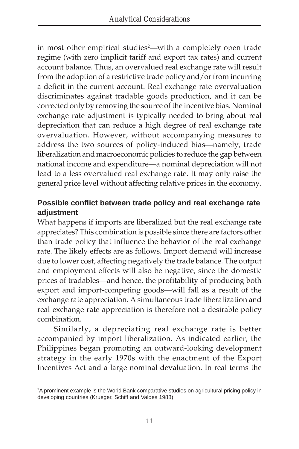in most other empirical studies<sup>2</sup>—with a completely open trade regime (with zero implicit tariff and export tax rates) and current account balance. Thus, an overvalued real exchange rate will result from the adoption of a restrictive trade policy and/or from incurring a deficit in the current account. Real exchange rate overvaluation discriminates against tradable goods production, and it can be corrected only by removing the source of the incentive bias. Nominal exchange rate adjustment is typically needed to bring about real depreciation that can reduce a high degree of real exchange rate overvaluation. However, without accompanying measures to address the two sources of policy-induced bias—namely, trade liberalization and macroeconomic policies to reduce the gap between national income and expenditure—a nominal depreciation will not lead to a less overvalued real exchange rate. It may only raise the general price level without affecting relative prices in the economy.

### **Possible conflict between trade policy and real exchange rate adjustment**

What happens if imports are liberalized but the real exchange rate appreciates? This combination is possible since there are factors other than trade policy that influence the behavior of the real exchange rate. The likely effects are as follows. Import demand will increase due to lower cost, affecting negatively the trade balance. The output and employment effects will also be negative, since the domestic prices of tradables—and hence, the profitability of producing both export and import-competing goods—will fall as a result of the exchange rate appreciation. A simultaneous trade liberalization and real exchange rate appreciation is therefore not a desirable policy combination.

Similarly, a depreciating real exchange rate is better accompanied by import liberalization. As indicated earlier, the Philippines began promoting an outward-looking development strategy in the early 1970s with the enactment of the Export Incentives Act and a large nominal devaluation. In real terms the

\_\_\_\_\_\_\_\_\_\_\_\_\_\_\_

<sup>2</sup> A prominent example is the World Bank comparative studies on agricultural pricing policy in developing countries (Krueger, Schiff and Valdes 1988).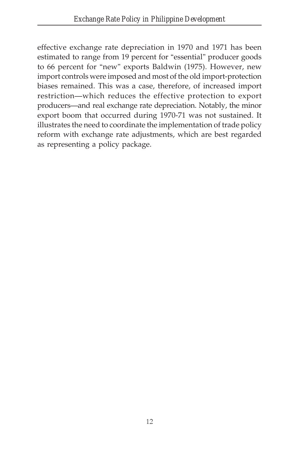effective exchange rate depreciation in 1970 and 1971 has been estimated to range from 19 percent for "essential" producer goods to 66 percent for "new" exports Baldwin (1975). However, new import controls were imposed and most of the old import-protection biases remained. This was a case, therefore, of increased import restriction—which reduces the effective protection to export producers—and real exchange rate depreciation. Notably, the minor export boom that occurred during 1970-71 was not sustained. It illustrates the need to coordinate the implementation of trade policy reform with exchange rate adjustments, which are best regarded as representing a policy package.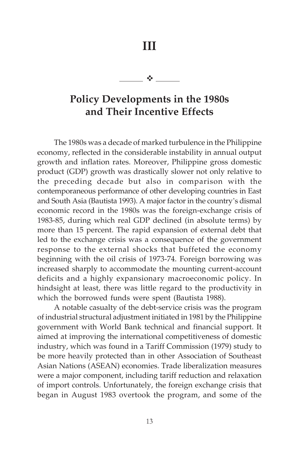**III**

- 1992 - 1993 - 1994 - 1995 - 1995 - 1995 - 1995 - 1995 - 1995 - 1995 - 1995 - 1995 - 1995 - 1995 - 1995 - 199

# **Policy Developments in the 1980s and Their Incentive Effects**

The 1980s was a decade of marked turbulence in the Philippine economy, reflected in the considerable instability in annual output growth and inflation rates. Moreover, Philippine gross domestic product (GDP) growth was drastically slower not only relative to the preceding decade but also in comparison with the contemporaneous performance of other developing countries in East and South Asia (Bautista 1993). A major factor in the country's dismal economic record in the 1980s was the foreign-exchange crisis of 1983-85, during which real GDP declined (in absolute terms) by more than 15 percent. The rapid expansion of external debt that led to the exchange crisis was a consequence of the government response to the external shocks that buffeted the economy beginning with the oil crisis of 1973-74. Foreign borrowing was increased sharply to accommodate the mounting current-account deficits and a highly expansionary macroeconomic policy. In hindsight at least, there was little regard to the productivity in which the borrowed funds were spent (Bautista 1988).

A notable casualty of the debt-service crisis was the program of industrial structural adjustment initiated in 1981 by the Philippine government with World Bank technical and financial support. It aimed at improving the international competitiveness of domestic industry, which was found in a Tariff Commission (1979) study to be more heavily protected than in other Association of Southeast Asian Nations (ASEAN) economies. Trade liberalization measures were a major component, including tariff reduction and relaxation of import controls. Unfortunately, the foreign exchange crisis that began in August 1983 overtook the program, and some of the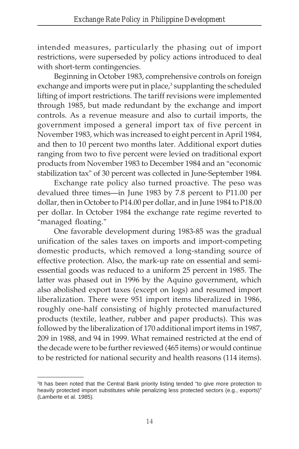intended measures, particularly the phasing out of import restrictions, were superseded by policy actions introduced to deal with short-term contingencies.

Beginning in October 1983, comprehensive controls on foreign exchange and imports were put in place,<sup>3</sup> supplanting the scheduled lifting of import restrictions. The tariff revisions were implemented through 1985, but made redundant by the exchange and import controls. As a revenue measure and also to curtail imports, the government imposed a general import tax of five percent in November 1983, which was increased to eight percent in April 1984, and then to 10 percent two months later. Additional export duties ranging from two to five percent were levied on traditional export products from November 1983 to December 1984 and an "economic stabilization tax" of 30 percent was collected in June-September 1984.

Exchange rate policy also turned proactive. The peso was devalued three times—in June 1983 by 7.8 percent to P11.00 per dollar, then in October to P14.00 per dollar, and in June 1984 to P18.00 per dollar. In October 1984 the exchange rate regime reverted to "managed floating."

One favorable development during 1983-85 was the gradual unification of the sales taxes on imports and import-competing domestic products, which removed a long-standing source of effective protection. Also, the mark-up rate on essential and semiessential goods was reduced to a uniform 25 percent in 1985. The latter was phased out in 1996 by the Aquino government, which also abolished export taxes (except on logs) and resumed import liberalization. There were 951 import items liberalized in 1986, roughly one-half consisting of highly protected manufactured products (textile, leather, rubber and paper products). This was followed by the liberalization of 170 additional import items in 1987, 209 in 1988, and 94 in 1999. What remained restricted at the end of the decade were to be further reviewed (465 items) or would continue to be restricted for national security and health reasons (114 items).

\_\_\_\_\_\_\_\_\_\_\_\_\_\_\_

<sup>&</sup>lt;sup>3</sup>It has been noted that the Central Bank priority listing tended "to give more protection to heavily protected import substitutes while penalizing less protected sectors (e.g., exports)" (Lamberte et al. 1985).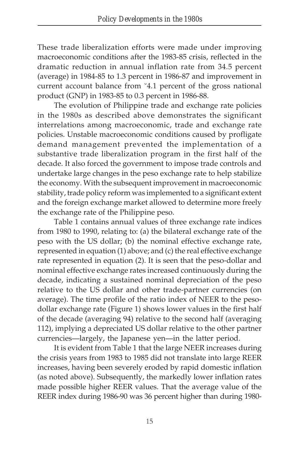These trade liberalization efforts were made under improving macroeconomic conditions after the 1983-85 crisis, reflected in the dramatic reduction in annual inflation rate from 34.5 percent (average) in 1984-85 to 1.3 percent in 1986-87 and improvement in current account balance from '4.1 percent of the gross national product (GNP) in 1983-85 to 0.3 percent in 1986-88.

The evolution of Philippine trade and exchange rate policies in the 1980s as described above demonstrates the significant interrelations among macroeconomic, trade and exchange rate policies. Unstable macroeconomic conditions caused by profligate demand management prevented the implementation of a substantive trade liberalization program in the first half of the decade. It also forced the government to impose trade controls and undertake large changes in the peso exchange rate to help stabilize the economy. With the subsequent improvement in macroeconomic stability, trade policy reform was implemented to a significant extent and the foreign exchange market allowed to determine more freely the exchange rate of the Philippine peso.

Table 1 contains annual values of three exchange rate indices from 1980 to 1990, relating to: (a) the bilateral exchange rate of the peso with the US dollar; (b) the nominal effective exchange rate, represented in equation (1) above; and (c) the real effective exchange rate represented in equation (2). It is seen that the peso-dollar and nominal effective exchange rates increased continuously during the decade, indicating a sustained nominal depreciation of the peso relative to the US dollar and other trade-partner currencies (on average). The time profile of the ratio index of NEER to the pesodollar exchange rate (Figure 1) shows lower values in the first half of the decade (averaging 94) relative to the second half (averaging 112), implying a depreciated US dollar relative to the other partner currencies—largely, the Japanese yen—in the latter period.

It is evident from Table 1 that the large NEER increases during the crisis years from 1983 to 1985 did not translate into large REER increases, having been severely eroded by rapid domestic inflation (as noted above). Subsequently, the markedly lower inflation rates made possible higher REER values. That the average value of the REER index during 1986-90 was 36 percent higher than during 1980-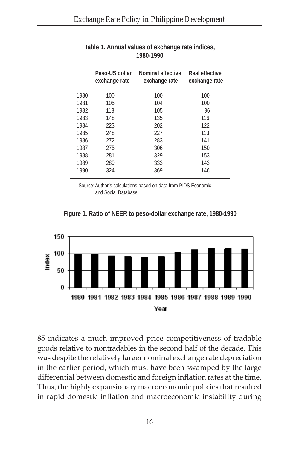|      | Peso-US dollar<br>exchange rate | <b>Nominal effective</b><br>exchange rate | Real effective<br>exchange rate |
|------|---------------------------------|-------------------------------------------|---------------------------------|
| 1980 | 100                             | 100                                       | 100                             |
| 1981 | 105                             | 104                                       | 100                             |
| 1982 | 113                             | 105                                       | 96                              |
| 1983 | 148                             | 135                                       | 116                             |
| 1984 | 223                             | 202                                       | 122                             |
| 1985 | 248                             | 227                                       | 113                             |
| 1986 | 272                             | 283                                       | 141                             |
| 1987 | 275                             | 306                                       | 150                             |
| 1988 | 281                             | 329                                       | 153                             |
| 1989 | 289                             | 333                                       | 143                             |
| 1990 | 324                             | 369                                       | 146                             |

#### **Table 1. Annual values of exchange rate indices, 1980-1990**

Source: Author's calculations based on data from PIDS Economic and Social Database.



**Figure 1. Ratio of NEER to peso-dollar exchange rate, 1980-1990**

85 indicates a much improved price competitiveness of tradable goods relative to nontradables in the second half of the decade. This was despite the relatively larger nominal exchange rate depreciation in the earlier period, which must have been swamped by the large differential between domestic and foreign inflation rates at the time. Thus, the highly expansionary macroeconomic policies that resulted in rapid domestic inflation and macroeconomic instability during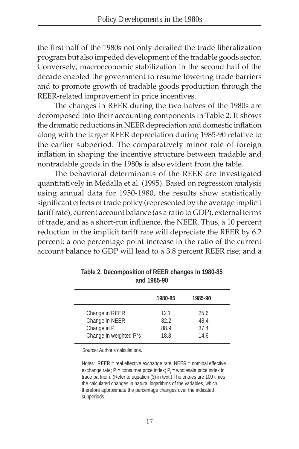the first half of the 1980s not only derailed the trade liberalization program but also impeded development of the tradable goods sector. Conversely, macroeconomic stabilization in the second half of the decade enabled the government to resume lowering trade barriers and to promote growth of tradable goods production through the REER-related improvement in price incentives.

The changes in REER during the two halves of the 1980s are decomposed into their accounting components in Table 2. It shows the dramatic reductions in NEER depreciation and domestic inflation along with the larger REER depreciation during 1985-90 relative to the earlier subperiod. The comparatively minor role of foreign inflation in shaping the incentive structure between tradable and nontradable goods in the 1980s is also evident from the table.

The behavioral determinants of the REER are investigated quantitatively in Medalla et al. (1995). Based on regression analysis using annual data for 1950-1980, the results show statistically significant effects of trade policy (represented by the average implicit tariff rate), current account balance (as a ratio to GDP), external terms of trade, and as a short-run influence, the NEER. Thus, a 10 percent reduction in the implicit tariff rate will depreciate the REER by 6.2 percent; a one percentage point increase in the ratio of the current account balance to GDP will lead to a 3.8 percent REER rise; and a

|                                                                                         | 1980-85                      | 1985-90                      |  |
|-----------------------------------------------------------------------------------------|------------------------------|------------------------------|--|
| Change in REER<br>Change in NEER<br>Change in P<br>Change in weighted P <sub>i</sub> 's | 12.1<br>82.2<br>88.9<br>18.8 | 25.6<br>48.4<br>37.4<br>14.6 |  |

**Table 2. Decomposition of REER changes in 1980-85 and 1985-90**

Source: Author's calculations.

Notes: REER = real effective exchange rate; NEER = nominal effective exchange rate; P = consumer price index;  $P_i$  = wholesale price index in trade partner i. (Refer to equation (3) in text.) The entries are 100 times the calculated changes in natural logarithms of the variables, which therefore approximate the percentage changes over the indicated subperiods.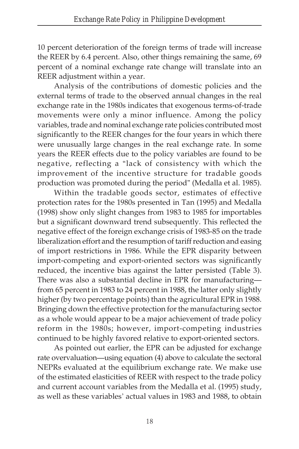10 percent deterioration of the foreign terms of trade will increase the REER by 6.4 percent. Also, other things remaining the same, 69 percent of a nominal exchange rate change will translate into an REER adjustment within a year.

Analysis of the contributions of domestic policies and the external terms of trade to the observed annual changes in the real exchange rate in the 1980s indicates that exogenous terms-of-trade movements were only a minor influence. Among the policy variables, trade and nominal exchange rate policies contributed most significantly to the REER changes for the four years in which there were unusually large changes in the real exchange rate. In some years the REER effects due to the policy variables are found to be negative, reflecting a "lack of consistency with which the improvement of the incentive structure for tradable goods production was promoted during the period" (Medalla et al. 1985).

Within the tradable goods sector, estimates of effective protection rates for the 1980s presented in Tan (1995) and Medalla (1998) show only slight changes from 1983 to 1985 for importables but a significant downward trend subsequently. This reflected the negative effect of the foreign exchange crisis of 1983-85 on the trade liberalization effort and the resumption of tariff reduction and easing of import restrictions in 1986. While the EPR disparity between import-competing and export-oriented sectors was significantly reduced, the incentive bias against the latter persisted (Table 3). There was also a substantial decline in EPR for manufacturing from 65 percent in 1983 to 24 percent in 1988, the latter only slightly higher (by two percentage points) than the agricultural EPR in 1988. Bringing down the effective protection for the manufacturing sector as a whole would appear to be a major achievement of trade policy reform in the 1980s; however, import-competing industries continued to be highly favored relative to export-oriented sectors.

As pointed out earlier, the EPR can be adjusted for exchange rate overvaluation—using equation (4) above to calculate the sectoral NEPRs evaluated at the equilibrium exchange rate. We make use of the estimated elasticities of REER with respect to the trade policy and current account variables from the Medalla et al. (1995) study, as well as these variables' actual values in 1983 and 1988, to obtain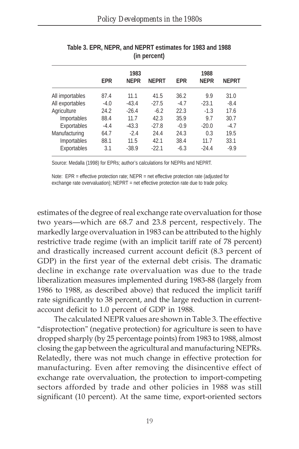|                 | 1983       |             |              |            | 1988        |              |  |
|-----------------|------------|-------------|--------------|------------|-------------|--------------|--|
|                 | <b>FPR</b> | <b>NFPR</b> | <b>NEPRT</b> | <b>FPR</b> | <b>NFPR</b> | <b>NEPRT</b> |  |
| All importables | 87.4       | 11.1        | 41.5         | 36.2       | 9.9         | 31.0         |  |
| All exportables | $-4.0$     | $-43.4$     | $-27.5$      | $-4.7$     | $-23.1$     | $-8.4$       |  |
| Agriculture     | 24.2       | $-26.4$     | $-6.2$       | 22.3       | $-1.3$      | 17.6         |  |
| Importables     | 88.4       | 11.7        | 42.3         | 35.9       | 9.7         | 30.7         |  |
| Exportables     | $-4.4$     | $-43.3$     | $-27.8$      | $-0.9$     | $-20.0$     | $-4.7$       |  |
| Manufacturing   | 64.7       | $-2.4$      | 24.4         | 24.3       | 0.3         | 19.5         |  |
| Importables     | 88.1       | 11.5        | 42.1         | 38.4       | 11.7        | 33.1         |  |
| Exportables     | 3.1        | $-38.9$     | $-22.1$      | $-6.3$     | $-24.4$     | $-9.9$       |  |

| Table 3, EPR, NEPR, and NEPRT estimates for 1983 and 1988 |  |
|-----------------------------------------------------------|--|
| (in percent)                                              |  |

Source: Medalla (1998) for EPRs; author's calculations for NEPRs and NEPRT.

Note: EPR = effective protection rate; NEPR = net effective protection rate (adjusted for exchange rate overvaluation); NEPRT = net effective protection rate due to trade policy.

estimates of the degree of real exchange rate overvaluation for those two years—which are 68.7 and 23.8 percent, respectively. The markedly large overvaluation in 1983 can be attributed to the highly restrictive trade regime (with an implicit tariff rate of 78 percent) and drastically increased current account deficit (8.3 percent of GDP) in the first year of the external debt crisis. The dramatic decline in exchange rate overvaluation was due to the trade liberalization measures implemented during 1983-88 (largely from 1986 to 1988, as described above) that reduced the implicit tariff rate significantly to 38 percent, and the large reduction in currentaccount deficit to 1.0 percent of GDP in 1988.

The calculated NEPR values are shown in Table 3. The effective "disprotection" (negative protection) for agriculture is seen to have dropped sharply (by 25 percentage points) from 1983 to 1988, almost closing the gap between the agricultural and manufacturing NEPRs. Relatedly, there was not much change in effective protection for manufacturing. Even after removing the disincentive effect of exchange rate overvaluation, the protection to import-competing sectors afforded by trade and other policies in 1988 was still significant (10 percent). At the same time, export-oriented sectors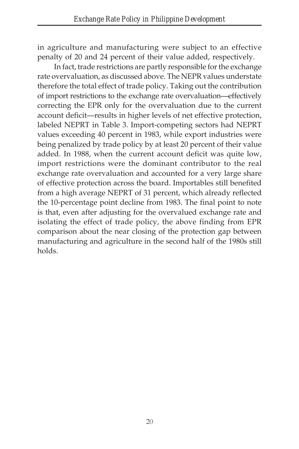in agriculture and manufacturing were subject to an effective penalty of 20 and 24 percent of their value added, respectively.

In fact, trade restrictions are partly responsible for the exchange rate overvaluation, as discussed above. The NEPR values understate therefore the total effect of trade policy. Taking out the contribution of import restrictions to the exchange rate overvaluation—effectively correcting the EPR only for the overvaluation due to the current account deficit—results in higher levels of net effective protection, labeled NEPRT in Table 3. Import-competing sectors had NEPRT values exceeding 40 percent in 1983, while export industries were being penalized by trade policy by at least 20 percent of their value added. In 1988, when the current account deficit was quite low, import restrictions were the dominant contributor to the real exchange rate overvaluation and accounted for a very large share of effective protection across the board. Importables still benefited from a high average NEPRT of 31 percent, which already reflected the 10-percentage point decline from 1983. The final point to note is that, even after adjusting for the overvalued exchange rate and isolating the effect of trade policy, the above finding from EPR comparison about the near closing of the protection gap between manufacturing and agriculture in the second half of the 1980s still holds.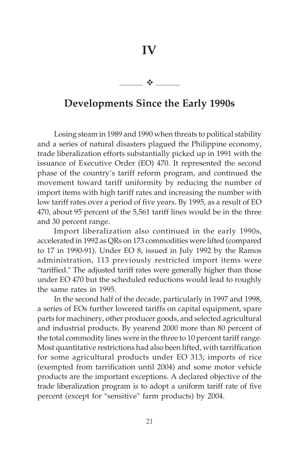**IV**

-

# **Developments Since the Early 1990s**

Losing steam in 1989 and 1990 when threats to political stability and a series of natural disasters plagued the Philippine economy, trade liberalization efforts substantially picked up in 1991 with the issuance of Executive Order (EO) 470. It represented the second phase of the country's tariff reform program, and continued the movement toward tariff uniformity by reducing the number of import items with high tariff rates and increasing the number with low tariff rates over a period of five years. By 1995, as a result of EO 470, about 95 percent of the 5,561 tariff lines would be in the three and 30 percent range.

Import liberalization also continued in the early 1990s, accelerated in 1992 as QRs on 173 commodities were lifted (compared to 17 in 1990-91). Under EO 8, issued in July 1992 by the Ramos administration, 113 previously restricted import items were "tariffied." The adjusted tariff rates were generally higher than those under EO 470 but the scheduled reductions would lead to roughly the same rates in 1995.

In the second half of the decade, particularly in 1997 and 1998, a series of EOs further lowered tariffs on capital equipment, spare parts for machinery, other producer goods, and selected agricultural and industrial products. By yearend 2000 more than 80 percent of the total commodity lines were in the three to 10 percent tariff range. Most quantitative restrictions had also been lifted, with tarriffication for some agricultural products under EO 313; imports of rice (exempted from tarrification until 2004) and some motor vehicle products are the important exceptions. A declared objective of the trade liberalization program is to adopt a uniform tariff rate of five percent (except for "sensitive" farm products) by 2004.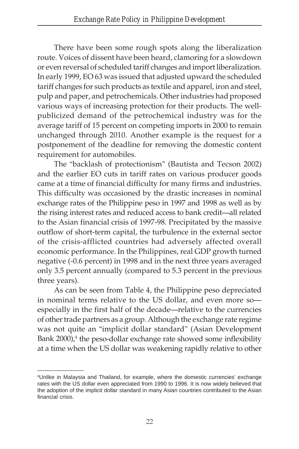There have been some rough spots along the liberalization route. Voices of dissent have been heard, clamoring for a slowdown or even reversal of scheduled tariff changes and import liberalization. In early 1999, EO 63 was issued that adjusted upward the scheduled tariff changes for such products as textile and apparel, iron and steel, pulp and paper, and petrochemicals. Other industries had proposed various ways of increasing protection for their products. The wellpublicized demand of the petrochemical industry was for the average tariff of 15 percent on competing imports in 2000 to remain unchanged through 2010. Another example is the request for a postponement of the deadline for removing the domestic content requirement for automobiles.

The "backlash of protectionism" (Bautista and Tecson 2002) and the earlier EO cuts in tariff rates on various producer goods came at a time of financial difficulty for many firms and industries. This difficulty was occasioned by the drastic increases in nominal exchange rates of the Philippine peso in 1997 and 1998 as well as by the rising interest rates and reduced access to bank credit—all related to the Asian financial crisis of 1997-98. Precipitated by the massive outflow of short-term capital, the turbulence in the external sector of the crisis-afflicted countries had adversely affected overall economic performance. In the Philippines, real GDP growth turned negative (-0.6 percent) in 1998 and in the next three years averaged only 3.5 percent annually (compared to 5.3 percent in the previous three years).

As can be seen from Table 4, the Philippine peso depreciated in nominal terms relative to the US dollar, and even more so especially in the first half of the decade—relative to the currencies of other trade partners as a group. Although the exchange rate regime was not quite an "implicit dollar standard" (Asian Development Bank 2000),<sup>4</sup> the peso-dollar exchange rate showed some inflexibility at a time when the US dollar was weakening rapidly relative to other

 $\overline{\phantom{a}}$  , where  $\overline{\phantom{a}}$  , where  $\overline{\phantom{a}}$ 

<sup>4</sup> Unlike in Malaysia and Thailand, for example, where the domestic currencies' exchange rates with the US dollar even appreciated from 1990 to 1996. It is now widely believed that the adoption of the implicit dollar standard in many Asian countries contributed to the Asian financial crisis.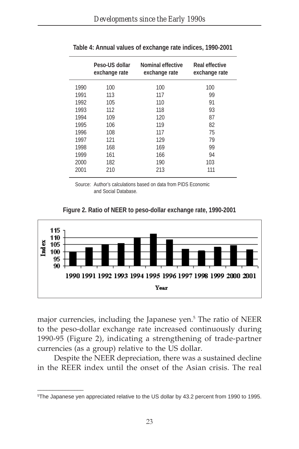|      | Peso-US dollar<br>exchange rate | <b>Nominal effective</b><br>exchange rate | <b>Real effective</b><br>exchange rate |
|------|---------------------------------|-------------------------------------------|----------------------------------------|
| 1990 | 100                             | 100                                       | 100                                    |
| 1991 | 113                             | 117                                       | 99                                     |
| 1992 | 105                             | 110                                       | 91                                     |
| 1993 | 112                             | 118                                       | 93                                     |
| 1994 | 109                             | 120                                       | 87                                     |
| 1995 | 106                             | 119                                       | 82                                     |
| 1996 | 108                             | 117                                       | 75                                     |
| 1997 | 121                             | 129                                       | 79                                     |
| 1998 | 168                             | 169                                       | 99                                     |
| 1999 | 161                             | 166                                       | 94                                     |
| 2000 | 182                             | 190                                       | 103                                    |
| 2001 | 210                             | 213                                       | 111                                    |

**Table 4: Annual values of exchange rate indices, 1990-2001**

Source: Author's calculations based on data from PIDS Economic and Social Database.





major currencies, including the Japanese yen.<sup>5</sup> The ratio of NEER to the peso-dollar exchange rate increased continuously during 1990-95 (Figure 2), indicating a strengthening of trade-partner currencies (as a group) relative to the US dollar.

Despite the NEER depreciation, there was a sustained decline in the REER index until the onset of the Asian crisis. The real

\_\_\_\_\_\_\_\_\_\_\_\_\_\_\_

<sup>5</sup> The Japanese yen appreciated relative to the US dollar by 43.2 percent from 1990 to 1995.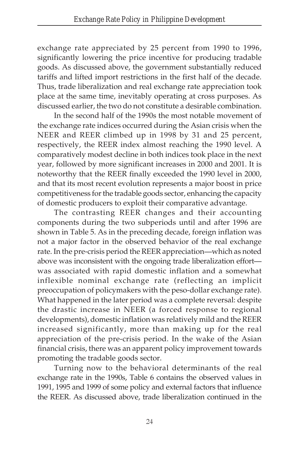exchange rate appreciated by 25 percent from 1990 to 1996, significantly lowering the price incentive for producing tradable goods. As discussed above, the government substantially reduced tariffs and lifted import restrictions in the first half of the decade. Thus, trade liberalization and real exchange rate appreciation took place at the same time, inevitably operating at cross purposes. As discussed earlier, the two do not constitute a desirable combination.

In the second half of the 1990s the most notable movement of the exchange rate indices occurred during the Asian crisis when the NEER and REER climbed up in 1998 by 31 and 25 percent, respectively, the REER index almost reaching the 1990 level. A comparatively modest decline in both indices took place in the next year, followed by more significant increases in 2000 and 2001. It is noteworthy that the REER finally exceeded the 1990 level in 2000, and that its most recent evolution represents a major boost in price competitiveness for the tradable goods sector, enhancing the capacity of domestic producers to exploit their comparative advantage.

The contrasting REER changes and their accounting components during the two subperiods until and after 1996 are shown in Table 5. As in the preceding decade, foreign inflation was not a major factor in the observed behavior of the real exchange rate. In the pre-crisis period the REER appreciation—which as noted above was inconsistent with the ongoing trade liberalization effort was associated with rapid domestic inflation and a somewhat inflexible nominal exchange rate (reflecting an implicit preoccupation of policymakers with the peso-dollar exchange rate). What happened in the later period was a complete reversal: despite the drastic increase in NEER (a forced response to regional developments), domestic inflation was relatively mild and the REER increased significantly, more than making up for the real appreciation of the pre-crisis period. In the wake of the Asian financial crisis, there was an apparent policy improvement towards promoting the tradable goods sector.

Turning now to the behavioral determinants of the real exchange rate in the 1990s, Table 6 contains the observed values in 1991, 1995 and 1999 of some policy and external factors that influence the REER. As discussed above, trade liberalization continued in the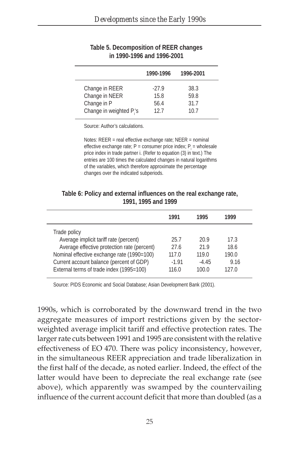|                                                 | 1990-1996               | 1996-2001            |  |
|-------------------------------------------------|-------------------------|----------------------|--|
| Change in REER<br>Change in NEER<br>Change in P | $-27.9$<br>15.8<br>56.4 | 38.3<br>59.8<br>31.7 |  |
| Change in weighted P <sub>i</sub> 's            | 12.7                    | 10.7                 |  |

#### **Table 5. Decomposition of REER changes in 1990-1996 and 1996-2001**

Source: Author's calculations.

Notes: REER = real effective exchange rate; NEER = nominal effective exchange rate;  $P =$  consumer price index;  $P_i =$  wholesale price index in trade partner i. (Refer to equation (3) in text.) The entries are 100 times the calculated changes in natural logarithms of the variables, which therefore approximate the percentage changes over the indicated subperiods.

| Table 6: Policy and external influences on the real exchange rate, |
|--------------------------------------------------------------------|
| 1991, 1995 and 1999                                                |

| 1991    | 1995    | 1999  |
|---------|---------|-------|
|         |         |       |
| 25.7    | 20.9    | 17.3  |
| 27.6    | 21.9    | 18.6  |
| 117.0   | 119.0   | 190.0 |
| $-1.91$ | $-4.45$ | 9.16  |
| 116.0   | 100.0   | 127.0 |
|         |         |       |

Source: PIDS Economic and Social Database; Asian Development Bank (2001).

1990s, which is corroborated by the downward trend in the two aggregate measures of import restrictions given by the sectorweighted average implicit tariff and effective protection rates. The larger rate cuts between 1991 and 1995 are consistent with the relative effectiveness of EO 470. There was policy inconsistency, however, in the simultaneous REER appreciation and trade liberalization in the first half of the decade, as noted earlier. Indeed, the effect of the latter would have been to depreciate the real exchange rate (see above), which apparently was swamped by the countervailing influence of the current account deficit that more than doubled (as a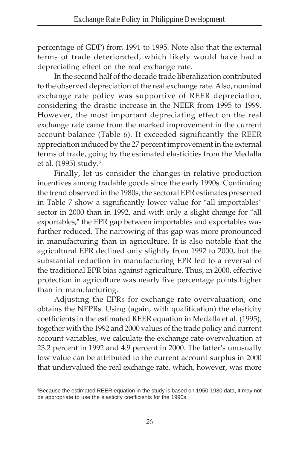percentage of GDP) from 1991 to 1995. Note also that the external terms of trade deteriorated, which likely would have had a depreciating effect on the real exchange rate.

In the second half of the decade trade liberalization contributed to the observed depreciation of the real exchange rate. Also, nominal exchange rate policy was supportive of REER depreciation, considering the drastic increase in the NEER from 1995 to 1999. However, the most important depreciating effect on the real exchange rate came from the marked improvement in the current account balance (Table 6). It exceeded significantly the REER appreciation induced by the 27 percent improvement in the external terms of trade, going by the estimated elasticities from the Medalla et al. (1995) study.6

Finally, let us consider the changes in relative production incentives among tradable goods since the early 1990s. Continuing the trend observed in the 1980s, the sectoral EPR estimates presented in Table 7 show a significantly lower value for "all importables" sector in 2000 than in 1992, and with only a slight change for "all exportables," the EPR gap between importables and exportables was further reduced. The narrowing of this gap was more pronounced in manufacturing than in agriculture. It is also notable that the agricultural EPR declined only slightly from 1992 to 2000, but the substantial reduction in manufacturing EPR led to a reversal of the traditional EPR bias against agriculture. Thus, in 2000, effective protection in agriculture was nearly five percentage points higher than in manufacturing.

Adjusting the EPRs for exchange rate overvaluation, one obtains the NEPRs. Using (again, with qualification) the elasticity coefficients in the estimated REER equation in Medalla et al. (1995), together with the 1992 and 2000 values of the trade policy and current account variables, we calculate the exchange rate overvaluation at 23.2 percent in 1992 and 4.9 percent in 2000. The latter's unusually low value can be attributed to the current account surplus in 2000 that undervalued the real exchange rate, which, however, was more

\_\_\_\_\_\_\_\_\_\_\_\_\_\_\_

<sup>&</sup>lt;sup>6</sup>Because the estimated REER equation in the study is based on 1950-1980 data, it may not be appropriate to use the elasticity coefficients for the 1990s.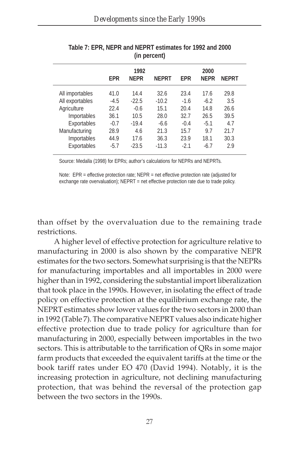|                 |            | 1992        |              |            | 2000        |              |  |
|-----------------|------------|-------------|--------------|------------|-------------|--------------|--|
|                 | <b>FPR</b> | <b>NFPR</b> | <b>NEPRT</b> | <b>FPR</b> | <b>NFPR</b> | <b>NEPRT</b> |  |
| All importables | 41.0       | 14.4        | 32.6         | 23.4       | 17.6        | 29.8         |  |
| All exportables | $-4.5$     | $-22.5$     | $-10.2$      | $-1.6$     | $-6.2$      | 3.5          |  |
| Agriculture     | 22.4       | $-0.6$      | 15.1         | 20.4       | 14.8        | 26.6         |  |
| Importables     | 36.1       | 10.5        | 28.0         | 32.7       | 26.5        | 39.5         |  |
| Exportables     | $-0.7$     | $-19.4$     | $-6.6$       | $-0.4$     | $-5.1$      | 4.7          |  |
| Manufacturing   | 28.9       | 4.6         | 21.3         | 15.7       | 9.7         | 21.7         |  |
| Importables     | 44.9       | 17.6        | 36.3         | 23.9       | 18.1        | 30.3         |  |
| Exportables     | $-5.7$     | $-23.5$     | $-11.3$      | $-2.1$     | $-6.7$      | 2.9          |  |

| Table 7: EPR, NEPR and NEPRT estimates for 1992 and 2000 |  |
|----------------------------------------------------------|--|
| (in percent)                                             |  |

Source: Medalla (1998) for EPRs; author's calculations for NEPRs and NEPRTs.

Note: EPR = effective protection rate; NEPR = net effective protection rate (adjusted for exchange rate overvaluation); NEPRT = net effective protection rate due to trade policy.

than offset by the overvaluation due to the remaining trade restrictions.

A higher level of effective protection for agriculture relative to manufacturing in 2000 is also shown by the comparative NEPR estimates for the two sectors. Somewhat surprising is that the NEPRs for manufacturing importables and all importables in 2000 were higher than in 1992, considering the substantial import liberalization that took place in the 1990s. However, in isolating the effect of trade policy on effective protection at the equilibrium exchange rate, the NEPRT estimates show lower values for the two sectors in 2000 than in 1992 (Table 7). The comparative NEPRT values also indicate higher effective protection due to trade policy for agriculture than for manufacturing in 2000, especially between importables in the two sectors. This is attributable to the tarrification of QRs in some major farm products that exceeded the equivalent tariffs at the time or the book tariff rates under EO 470 (David 1994). Notably, it is the increasing protection in agriculture, not declining manufacturing protection, that was behind the reversal of the protection gap between the two sectors in the 1990s.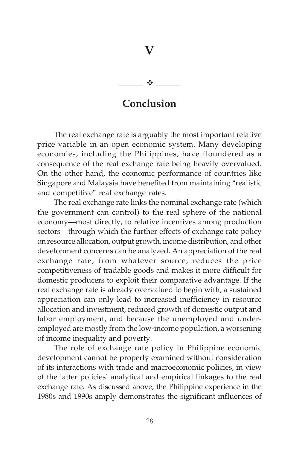# $\ddot{\cdot}$

**V**

## **Conclusion**

The real exchange rate is arguably the most important relative price variable in an open economic system. Many developing economies, including the Philippines, have floundered as a consequence of the real exchange rate being heavily overvalued. On the other hand, the economic performance of countries like Singapore and Malaysia have benefited from maintaining "realistic and competitive" real exchange rates.

The real exchange rate links the nominal exchange rate (which the government can control) to the real sphere of the national economy—most directly, to relative incentives among production sectors—through which the further effects of exchange rate policy on resource allocation, output growth, income distribution, and other development concerns can be analyzed. An appreciation of the real exchange rate, from whatever source, reduces the price competitiveness of tradable goods and makes it more difficult for domestic producers to exploit their comparative advantage. If the real exchange rate is already overvalued to begin with, a sustained appreciation can only lead to increased inefficiency in resource allocation and investment, reduced growth of domestic output and labor employment, and because the unemployed and underemployed are mostly from the low-income population, a worsening of income inequality and poverty.

The role of exchange rate policy in Philippine economic development cannot be properly examined without consideration of its interactions with trade and macroeconomic policies, in view of the latter policies' analytical and empirical linkages to the real exchange rate. As discussed above, the Philippine experience in the 1980s and 1990s amply demonstrates the significant influences of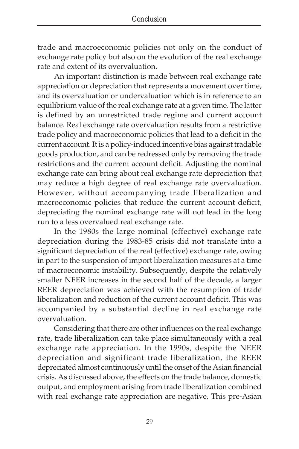trade and macroeconomic policies not only on the conduct of exchange rate policy but also on the evolution of the real exchange rate and extent of its overvaluation.

An important distinction is made between real exchange rate appreciation or depreciation that represents a movement over time, and its overvaluation or undervaluation which is in reference to an equilibrium value of the real exchange rate at a given time. The latter is defined by an unrestricted trade regime and current account balance. Real exchange rate overvaluation results from a restrictive trade policy and macroeconomic policies that lead to a deficit in the current account. It is a policy-induced incentive bias against tradable goods production, and can be redressed only by removing the trade restrictions and the current account deficit. Adjusting the nominal exchange rate can bring about real exchange rate depreciation that may reduce a high degree of real exchange rate overvaluation. However, without accompanying trade liberalization and macroeconomic policies that reduce the current account deficit, depreciating the nominal exchange rate will not lead in the long run to a less overvalued real exchange rate.

In the 1980s the large nominal (effective) exchange rate depreciation during the 1983-85 crisis did not translate into a significant depreciation of the real (effective) exchange rate, owing in part to the suspension of import liberalization measures at a time of macroeconomic instability. Subsequently, despite the relatively smaller NEER increases in the second half of the decade, a larger REER depreciation was achieved with the resumption of trade liberalization and reduction of the current account deficit. This was accompanied by a substantial decline in real exchange rate overvaluation.

Considering that there are other influences on the real exchange rate, trade liberalization can take place simultaneously with a real exchange rate appreciation. In the 1990s, despite the NEER depreciation and significant trade liberalization, the REER depreciated almost continuously until the onset of the Asian financial crisis. As discussed above, the effects on the trade balance, domestic output, and employment arising from trade liberalization combined with real exchange rate appreciation are negative. This pre-Asian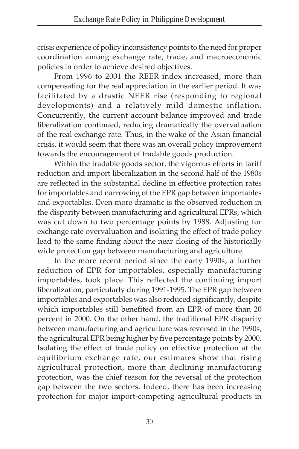crisis experience of policy inconsistency points to the need for proper coordination among exchange rate, trade, and macroeconomic policies in order to achieve desired objectives.

From 1996 to 2001 the REER index increased, more than compensating for the real appreciation in the earlier period. It was facilitated by a drastic NEER rise (responding to regional developments) and a relatively mild domestic inflation. Concurrently, the current account balance improved and trade liberalization continued, reducing dramatically the overvaluation of the real exchange rate. Thus, in the wake of the Asian financial crisis, it would seem that there was an overall policy improvement towards the encouragement of tradable goods production.

Within the tradable goods sector, the vigorous efforts in tariff reduction and import liberalization in the second half of the 1980s are reflected in the substantial decline in effective protection rates for importables and narrowing of the EPR gap between importables and exportables. Even more dramatic is the observed reduction in the disparity between manufacturing and agricultural EPRs, which was cut down to two percentage points by 1988. Adjusting for exchange rate overvaluation and isolating the effect of trade policy lead to the same finding about the near closing of the historically wide protection gap between manufacturing and agriculture.

In the more recent period since the early 1990s, a further reduction of EPR for importables, especially manufacturing importables, took place. This reflected the continuing import liberalization, particularly during 1991-1995. The EPR gap between importables and exportables was also reduced significantly, despite which importables still benefited from an EPR of more than 20 percent in 2000. On the other hand, the traditional EPR disparity between manufacturing and agriculture was reversed in the 1990s, the agricultural EPR being higher by five percentage points by 2000. Isolating the effect of trade policy on effective protection at the equilibrium exchange rate, our estimates show that rising agricultural protection, more than declining manufacturing protection, was the chief reason for the reversal of the protection gap between the two sectors. Indeed, there has been increasing protection for major import-competing agricultural products in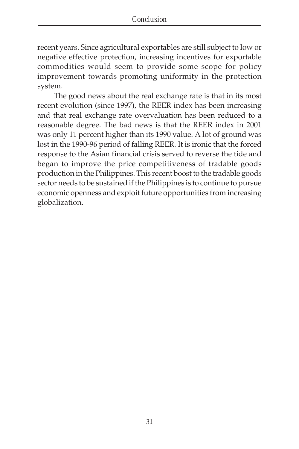recent years. Since agricultural exportables are still subject to low or negative effective protection, increasing incentives for exportable commodities would seem to provide some scope for policy improvement towards promoting uniformity in the protection system.

The good news about the real exchange rate is that in its most recent evolution (since 1997), the REER index has been increasing and that real exchange rate overvaluation has been reduced to a reasonable degree. The bad news is that the REER index in 2001 was only 11 percent higher than its 1990 value. A lot of ground was lost in the 1990-96 period of falling REER. It is ironic that the forced response to the Asian financial crisis served to reverse the tide and began to improve the price competitiveness of tradable goods production in the Philippines. This recent boost to the tradable goods sector needs to be sustained if the Philippines is to continue to pursue economic openness and exploit future opportunities from increasing globalization.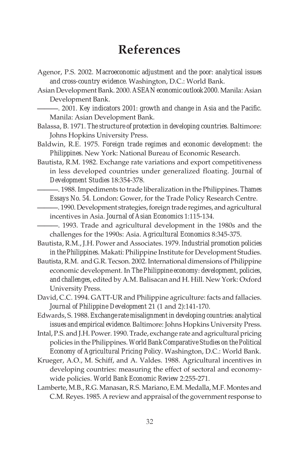# **References**

- Agenor, P.S. 2002. *Macroeconomic adjustment and the poor: analytical issues and cross-country evidence*. Washington, D.C.: World Bank.
- Asian Development Bank. 2000. *ASEAN economic outlook 2000*. Manila: Asian Development Bank.

———. 2001. *Key indicators 2001: growth and change in Asia and the Pacific*. Manila: Asian Development Bank.

- Balassa, B. 1971. *The structure of protection in developing countries*. Baltimore: Johns Hopkins University Press.
- Baldwin, R.E. 1975. *Foreign trade regimes and economic development: the Philippines*. New York: National Bureau of Economic Research.
- Bautista, R.M. 1982. Exchange rate variations and export competitiveness in less developed countries under generalized floating. *Journal of Development Studies* 18:354-378.
	- ———. 1988. Impediments to trade liberalization in the Philippines. *Thames Essays No. 54*. London: Gower, for the Trade Policy Research Centre.
- ———. 1990. Development strategies, foreign trade regimes, and agricultural incentives in Asia. *Journal of Asian Economics* 1:115-134.
- ———. 1993. Trade and agricultural development in the 1980s and the challenges for the 1990s: Asia. *Agricultural Economics* 8:345-375.
- Bautista, R.M., J.H. Power and Associates. 1979. *Industrial promotion policies in the Philippines*. Makati: Philippine Institute for Development Studies.
- Bautista, R.M. and G.R. Tecson. 2002. International dimensions of Philippine economic development. In *The Philippine economy: development, policies, and challenges*, edited by A.M. Balisacan and H. Hill. New York: Oxford University Press.
- David, C.C. 1994. GATT-UR and Philippine agriculture: facts and fallacies. *Journal of Philippine Development* 21 (1 and 2):141-170.

Edwards, S. 1988. *Exchange rate misalignment in developing countries: analytical issues and empirical evidence*. Baltimore: Johns Hopkins University Press.

- Intal, P.S. and J.H. Power. 1990. Trade, exchange rate and agricultural pricing policies in the Philippines. *World Bank Comparative Studies on the Political Economy of Agricultural Pricing Policy*. Washington, D.C.: World Bank.
- Krueger, A.O., M. Schiff, and A. Valdes. 1988. Agricultural incentives in developing countries: measuring the effect of sectoral and economywide policies. *World Bank Economic Review* 2:255-271.
- Lamberte, M.B., R.G. Manasan, R.S. Mariano, E.M. Medalla, M.F. Montes and C.M. Reyes. 1985. A review and appraisal of the government response to